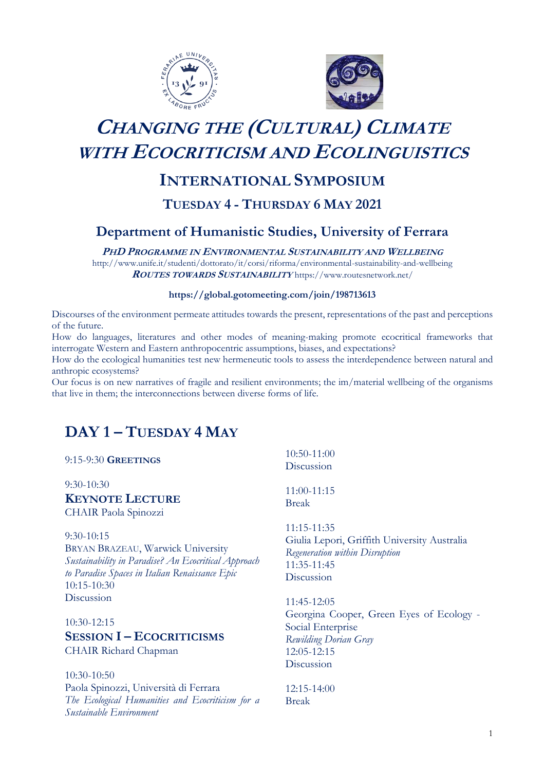



# **CHANGING THE (CULTURAL) CLIMATE WITH ECOCRITICISM AND ECOLINGUISTICS**

## **INTERNATIONAL SYMPOSIUM**

## **TUESDAY 4 - THURSDAY 6 MAY 2021**

## **Department of Humanistic Studies, University of Ferrara**

**PHD PROGRAMME IN ENVIRONMENTAL SUSTAINABILITY AND WELLBEING**

http://www.unife.it/studenti/dottorato/it/corsi/riforma/environmental-sustainability-and-wellbeing **ROUTES TOWARDS SUSTAINABILITY** <https://www.routesnetwork.net/>

## **<https://global.gotomeeting.com/join/198713613>**

Discourses of the environment permeate attitudes towards the present, representations of the past and perceptions of the future.

How do languages, literatures and other modes of meaning-making promote ecocritical frameworks that interrogate Western and Eastern anthropocentric assumptions, biases, and expectations?

How do the ecological humanities test new hermeneutic tools to assess the interdependence between natural and anthropic ecosystems?

Our focus is on new narratives of fragile and resilient environments; the im/material wellbeing of the organisms that live in them; the interconnections between diverse forms of life.

## **DAY 1 – TUESDAY 4 MAY**

*Sustainable Environment*

| 9:15-9:30 GREETINGS                                                                                                                                                           | 10:50-11:00<br>Discussion                                                                                                  |
|-------------------------------------------------------------------------------------------------------------------------------------------------------------------------------|----------------------------------------------------------------------------------------------------------------------------|
| $9:30-10:30$<br><b>KEYNOTE LECTURE</b><br>CHAIR Paola Spinozzi                                                                                                                | 11:00-11:15<br><b>Break</b>                                                                                                |
| $9:30-10:15$<br>BRYAN BRAZEAU, Warwick University<br>Sustainability in Paradise? An Ecocritical Approach<br>to Paradise Spaces in Italian Renaissance Epic<br>$10:15 - 10:30$ | 11:15-11:35<br>Giulia Lepori, Griffith University Australia<br>Regeneration within Disruption<br>11:35-11:45<br>Discussion |
| Discussion                                                                                                                                                                    | 11:45-12:05                                                                                                                |
| 10:30-12:15<br><b>SESSION I-ECOCRITICISMS</b><br>CHAIR Richard Chapman                                                                                                        | Georgina Cooper, Green Eyes of Ecology -<br>Social Enterprise<br>Rewilding Dorian Gray<br>12:05-12:15<br>Discussion        |
| $10:30-10:50$                                                                                                                                                                 |                                                                                                                            |
| Paola Spinozzi, Università di Ferrara                                                                                                                                         | 12:15-14:00                                                                                                                |
| The Ecological Humanities and Ecocriticism for a                                                                                                                              | <b>Break</b>                                                                                                               |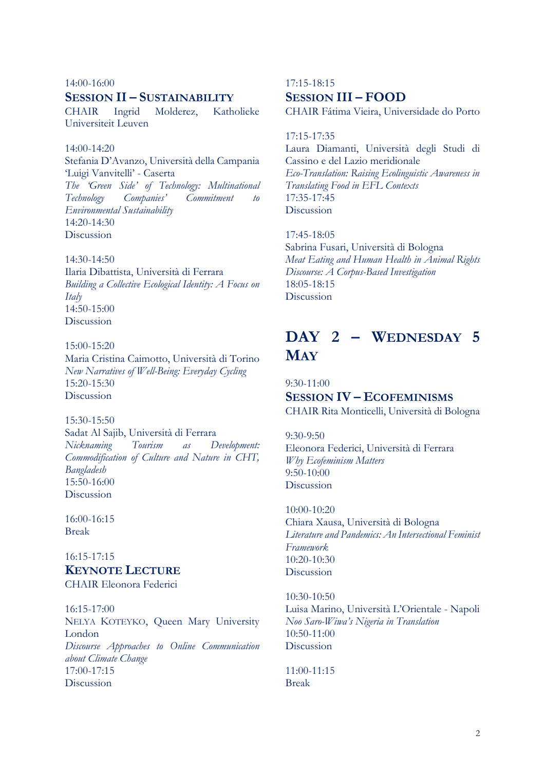#### 14:00-16:00

## **SESSION II – SUSTAINABILITY**

CHAIR Ingrid Molderez, Katholieke Universiteit Leuven

## 14:00-14:20

Stefania D'Avanzo, Università della Campania 'Luigi Vanvitelli' - Caserta *The 'Green Side' of Technology: Multinational Technology Companies' Commitment to Environmental Sustainability* 14:20-14:30 Discussion

#### $14.30 - 14.50$

Ilaria Dibattista, Università di Ferrara *Building a Collective Ecological Identity: A Focus on Italy*   $14:50-15:00$ Discussion

15:00-15:20 Maria Cristina Caimotto, Università di Torino *New Narratives of Well-Being: Everyday Cycling* 15:20-15:30 Discussion

15:30-15:50

Sadat Al Sajib, Università di Ferrara *Nicknaming Tourism as Development: Commodification of Culture and Nature in CHT, Bangladesh* 15:50-16:00 Discussion

16:00-16:15 Break

## 16:15-17:15 **KEYNOTE LECTURE** CHAIR Eleonora Federici

16:15-17:00 NELYA KOTEYKO, Queen Mary University London *Discourse Approaches to Online Communication about Climate Change* 17:00-17:15 Discussion

## 17:15-18:15 **SESSION III – FOOD**

CHAIR Fátima Vieira, Universidade do Porto

#### 17:15-17:35

Laura Diamanti, Università degli Studi di Cassino e del Lazio meridionale *Eco-Translation: Raising Ecolinguistic Awareness in Translating Food in EFL Contexts* 17:35-17:45 Discussion

17:45-18:05 Sabrina Fusari, Università di Bologna *Meat Eating and Human Health in Animal Rights Discourse: A Corpus-Based Investigation* 18:05-18:15 Discussion

## **DAY 2 – WEDNESDAY 5 MAY**

9:30-11:00 **SESSION IV – ECOFEMINISMS** CHAIR Rita Monticelli, Università di Bologna

9:30-9:50 Eleonora Federici, Università di Ferrara *Why Ecofeminism Matters* 9:50-10:00 Discussion

10:00-10:20 Chiara Xausa, Università di Bologna *Literature and Pandemics: An Intersectional Feminist Framework* 10:20-10:30 Discussion

10:30-10:50 Luisa Marino, Università L'Orientale - Napoli *Noo Saro-Wiwa's Nigeria in Translation* 10:50-11:00 Discussion

11:00-11:15 Break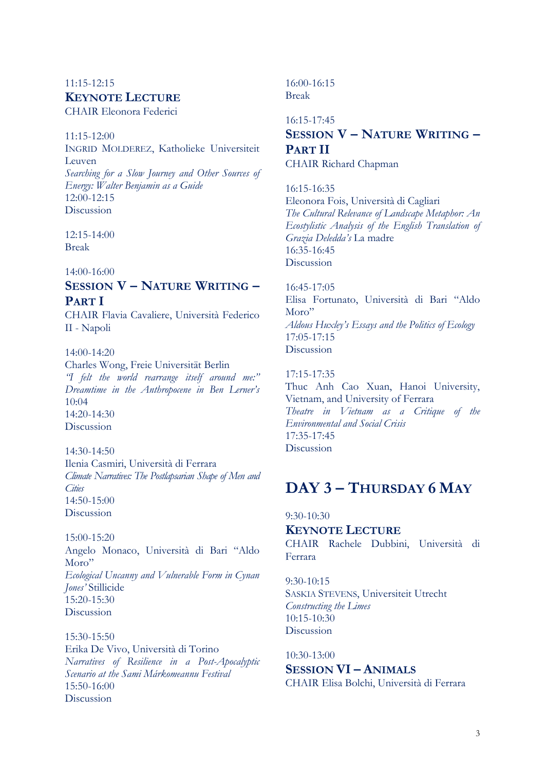## 11:15-12:15 **KEYNOTE LECTURE**

CHAIR Eleonora Federici

#### 11:15-12:00

INGRID MOLDEREZ, Katholieke Universiteit Leuven *Searching for a Slow Journey and Other Sources of Energy: Walter Benjamin as a Guide*  $12:00-12:15$ Discussion

12:15-14:00 Break

### 14:00-16:00

## **SESSION V – NATURE WRITING – PART I**

CHAIR Flavia Cavaliere, Università Federico II - Napoli

14:00-14:20 Charles Wong, Freie Universität Berlin *"I felt the world rearrange itself around me:" Dreamtime in the Anthropocene in Ben Lerner's*   $10:04$ 

14:20-14:30 Discussion 14:30-14:50 Ilenia Casmiri, Università di Ferrara *Climate Narratives: The Postlapsarian Shape of Men and* 

*Cities* 14:50-15:00 Discussion

15:00-15:20 Angelo Monaco, Università di Bari "Aldo Moro" *Ecological Uncanny and Vulnerable Form in Cynan Jones'* Stillicide  $15:20-15:30$ Discussion

15:30-15:50 Erika De Vivo, Università di Torino *Narratives of Resilience in a Post-Apocalyptic Scenario at the Sami Márkomeannu Festival*  15:50-16:00 Discussion

16:00-16:15 Break

## 16:15-17:45 **SESSION V – NATURE WRITING – PART II** CHAIR Richard Chapman

### 16:15-16:35

Eleonora Fois, Università di Cagliari *The Cultural Relevance of Landscape Metaphor: An Ecostylistic Analysis of the English Translation of Grazia Deledda's* La madre 16:35-16:45 Discussion

16:45-17:05

Elisa Fortunato, Università di Bari "Aldo Moro" *Aldous Huxley's Essays and the Politics of Ecology* 17:05-17:15 Discussion

## 17:15-17:35

Thuc Anh Cao Xuan, Hanoi University, Vietnam, and University of Ferrara *Theatre in Vietnam as a Critique of the Environmental and Social Crisis* 17:35-17:45 Discussion

## **DAY 3 – THURSDAY 6 MAY**

## 9:30-10:30

## **KEYNOTE LECTURE**

CHAIR Rachele Dubbini, Università di Ferrara

9:30-10:15 SASKIA STEVENS, Universiteit Utrecht *Constructing the Limes*  $10.15 - 10.30$ Discussion

10:30-13:00 **SESSION VI – ANIMALS** CHAIR Elisa Bolchi, Università di Ferrara